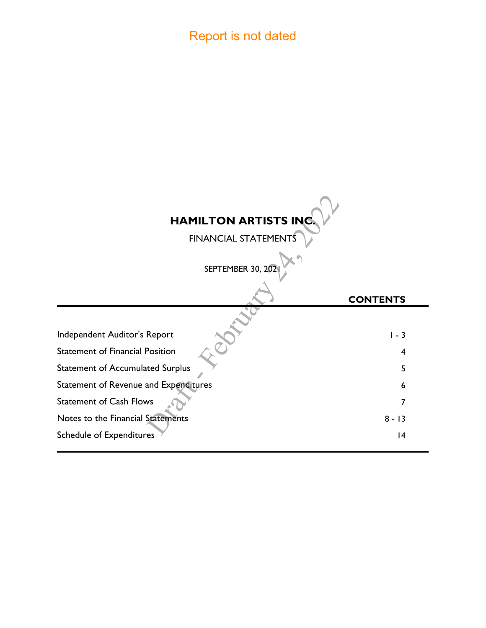## Report is not dated

# $rac{2}{\sqrt{2}}$ **HAMILTON ARTISTS INC.**

FINANCIAL STATEMENTS

| SEPTEMBER 30, 202                       |                 |
|-----------------------------------------|-----------------|
|                                         | <b>CONTENTS</b> |
|                                         |                 |
| Independent Auditor's Report            | $1 - 3$         |
| <b>Statement of Financial Position</b>  | 4               |
| <b>Statement of Accumulated Surplus</b> | 5               |
| Statement of Revenue and Expenditures   | 6               |
| <b>Statement of Cash Flows</b>          |                 |
| Notes to the Financial Statements       | $8 - 13$        |
| <b>Schedule of Expenditures</b>         | 14              |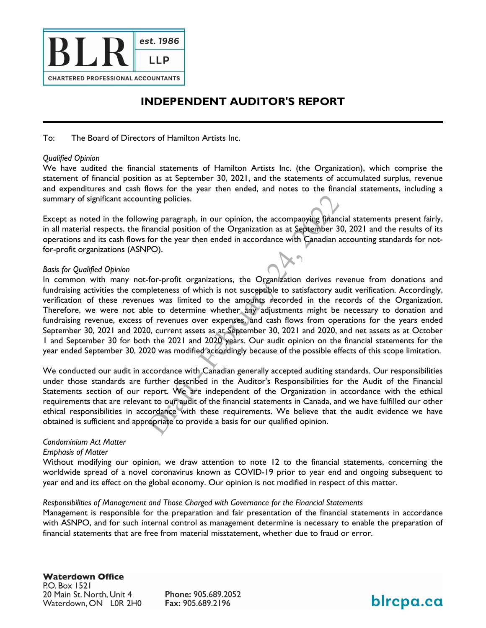

## **INDEPENDENT AUDITOR'S REPORT**

To: The Board of Directors of Hamilton Artists Inc.

#### *Qualified Opinion*

We have audited the financial statements of Hamilton Artists Inc. (the Organization), which comprise the statement of financial position as at September 30, 2021, and the statements of accumulated surplus, revenue and expenditures and cash flows for the year then ended, and notes to the financial statements, including a summary of significant accounting policies.

Panying financia<br>2022 September<br>2023<br>2022 September 2023<br>2023 September Except as noted in the following paragraph, in our opinion, the accompanying financial statements present fairly, in all material respects, the financial position of the Organization as at September 30, 2021 and the results of its operations and its cash flows for the year then ended in accordance with Canadian accounting standards for notfor-profit organizations (ASNPO).

#### *Basis for Qualified Opinion*

anizations, the Organization<br>
thich is not susceptible to sation<br>
d to the amounts recorded<br>
me whether any adjustments<br>
ver expenses, and cash flows<br>
ts as at September 30, 2021<br>
d 2020 years. Our audit opini<br>
ed accordin In common with many not-for-profit organizations, the Organization derives revenue from donations and fundraising activities the completeness of which is not susceptible to satisfactory audit verification. Accordingly, verification of these revenues was limited to the amounts recorded in the records of the Organization. Therefore, we were not able to determine whether any adjustments might be necessary to donation and fundraising revenue, excess of revenues over expenses, and cash flows from operations for the years ended September 30, 2021 and 2020, current assets as at September 30, 2021 and 2020, and net assets as at October 1 and September 30 for both the 2021 and 2020 years. Our audit opinion on the financial statements for the year ended September 30, 2020 was modified accordingly because of the possible effects of this scope limitation.

France with Calculation<br>Further described<br>report. We are in<br>the our audit of the<br>copriate to provide We conducted our audit in accordance with Canadian generally accepted auditing standards. Our responsibilities under those standards are further described in the Auditor's Responsibilities for the Audit of the Financial Statements section of our report. We are independent of the Organization in accordance with the ethical requirements that are relevant to our audit of the financial statements in Canada, and we have fulfilled our other ethical responsibilities in accordance with these requirements. We believe that the audit evidence we have obtained is sufficient and appropriate to provide a basis for our qualified opinion.

#### *Condominium Act Matter*

#### *Emphasis of Matter*

Without modifying our opinion, we draw attention to note 12 to the financial statements, concerning the worldwide spread of a novel coronavirus known as COVID-19 prior to year end and ongoing subsequent to year end and its effect on the global economy. Our opinion is not modified in respect of this matter.

#### *Responsibilities of Management and Those Charged with Governance for the Financial Statements*

Management is responsible for the preparation and fair presentation of the financial statements in accordance with ASNPO, and for such internal control as management determine is necessary to enable the preparation of financial statements that are free from material misstatement, whether due to fraud or error.

blrcpa.ca

**Waterdown Office** P.O. Box 1521 20 Main St. North, Unit 4 Waterdown, ON L0R 2H0

Phone: 905.689.2052 Fax: 905.689.2196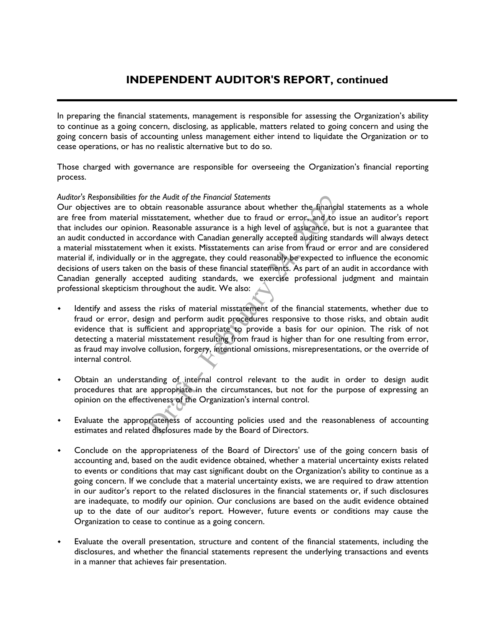In preparing the financial statements, management is responsible for assessing the Organization's ability to continue as a going concern, disclosing, as applicable, matters related to going concern and using the going concern basis of accounting unless management either intend to liquidate the Organization or to cease operations, or has no realistic alternative but to do so.

Those charged with governance are responsible for overseeing the Organization's financial reporting process.

#### *Auditor's Responsibilities for the Audit of the Financial Statements*

er the financial<br>
error, and to iss<br>
assurance, but<br>
ed auditing stand<br>
com fraud or er Our objectives are to obtain reasonable assurance about whether the financial statements as a whole are free from material misstatement, whether due to fraud or error, and to issue an auditor's report that includes our opinion. Reasonable assurance is a high level of assurance, but is not a guarantee that an audit conducted in accordance with Canadian generally accepted auditing standards will always detect a material misstatement when it exists. Misstatements can arise from fraud or error and are considered material if, individually or in the aggregate, they could reasonably be expected to influence the economic decisions of users taken on the basis of these financial statements. As part of an audit in accordance with Canadian generally accepted auditing standards, we exercise professional judgment and maintain professional skepticism throughout the audit. We also:

- Fissalements can also not<br>te, they could reasonably be e<br>these financial statements. As<br>standards, we exercise pro<br>audit. We also:<br>terial misstatement of the fin<br>m audit procedures responsive<br>propriate to provide a basis<br>r Identify and assess the risks of material misstatement of the financial statements, whether due to fraud or error, design and perform audit procedures responsive to those risks, and obtain audit evidence that is sufficient and appropriate to provide a basis for our opinion. The risk of not detecting a material misstatement resulting from fraud is higher than for one resulting from error, as fraud may involve collusion, forgery, intentional omissions, misrepresentations, or the override of internal control.
- Obtain an understanding of internal control relevant to the audit in order to design audit<br>procedures that are appropriate in the circumstances, but not for the purpose of expressing an<br>opinion on the effectiveness of the procedures that are appropriate in the circumstances, but not for the purpose of expressing an opinion on the effectiveness of the Organization's internal control.
- Evaluate the appropriateness of accounting policies used and the reasonableness of accounting estimates and related disclosures made by the Board of Directors.
- Conclude on the appropriateness of the Board of Directors' use of the going concern basis of accounting and, based on the audit evidence obtained, whether a material uncertainty exists related to events or conditions that may cast significant doubt on the Organization's ability to continue as a going concern. If we conclude that a material uncertainty exists, we are required to draw attention in our auditor's report to the related disclosures in the financial statements or, if such disclosures are inadequate, to modify our opinion. Our conclusions are based on the audit evidence obtained up to the date of our auditor's report. However, future events or conditions may cause the Organization to cease to continue as a going concern.
- Evaluate the overall presentation, structure and content of the financial statements, including the disclosures, and whether the financial statements represent the underlying transactions and events in a manner that achieves fair presentation.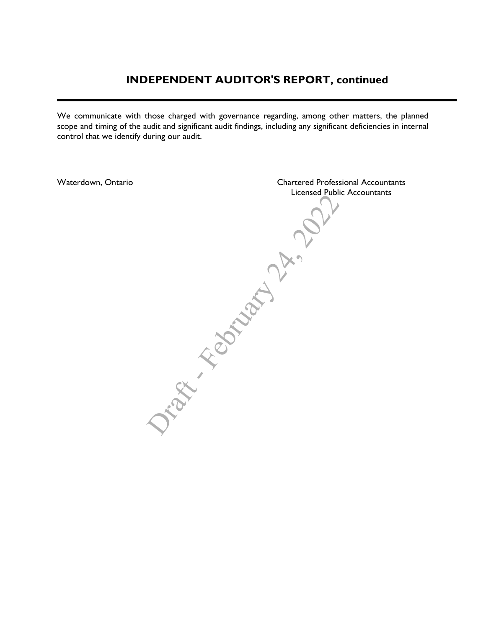## **INDEPENDENT AUDITOR'S REPORT, continued**

We communicate with those charged with governance regarding, among other matters, the planned scope and timing of the audit and significant audit findings, including any significant deficiencies in internal control that we identify during our audit.

Draw -February 21x 2022 Waterdown, Ontario Chartered Professional Accountants Licensed Public Accountants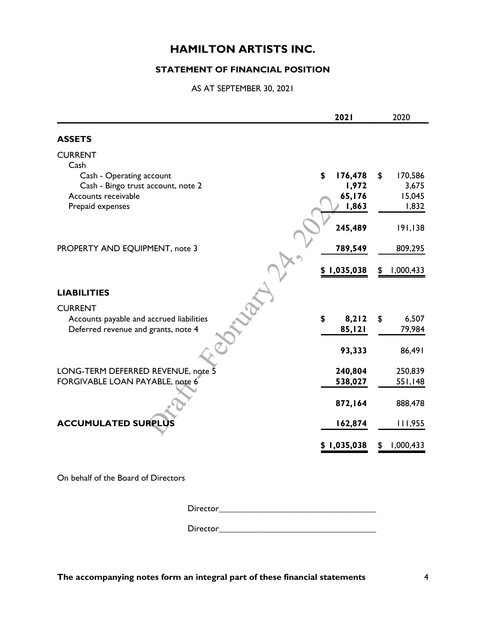#### **STATEMENT OF FINANCIAL POSITION**

AS AT SEPTEMBER 30, 2021

|                                          | 2021          | 2020          |
|------------------------------------------|---------------|---------------|
| <b>ASSETS</b>                            |               |               |
| <b>CURRENT</b>                           |               |               |
| Cash                                     |               |               |
| Cash - Operating account                 | \$<br>176,478 | \$<br>170,586 |
| Cash - Bingo trust account, note 2       | 1,972         | 3,675         |
| Accounts receivable                      | 65,176        | 15,045        |
| Prepaid expenses                         | 1,863         | 1,832         |
|                                          |               |               |
|                                          | 245,489       | 191,138       |
|                                          |               |               |
| PROPERTY AND EQUIPMENT, note 3           | 789,549       | 809,295       |
|                                          |               |               |
|                                          | \$1,035,038   | 1,000,433     |
|                                          |               |               |
| <b>LIABILITIES</b>                       |               |               |
| <b>CURRENT</b>                           |               |               |
| Accounts payable and accrued liabilities | \$<br>8,212   | \$<br>6,507   |
| Deferred revenue and grants, note 4      | 85,121        | 79,984        |
|                                          |               |               |
|                                          | 93,333        | 86,491        |
| LONG-TERM DEFERRED REVENUE, note 5       | 240,804       | 250,839       |
| FORGIVABLE LOAN PAYABLE, note 6          | 538,027       | 551,148       |
|                                          |               |               |
|                                          | 872,164       | 888,478       |
|                                          |               |               |
| <b>ACCUMULATED SURPLUS</b>               | 162,874       | 111,955       |
|                                          |               |               |
|                                          | \$1,035,038   | 1,000,433     |
|                                          |               |               |
|                                          |               |               |

On behalf of the Board of Directors

Director\_\_\_\_\_\_\_\_\_\_\_\_\_\_\_\_\_\_\_\_\_\_\_\_\_\_\_\_\_\_\_\_\_\_\_\_

Director\_\_\_\_\_\_\_\_\_\_\_\_\_\_\_\_\_\_\_\_\_\_\_\_\_\_\_\_\_\_\_\_\_\_\_\_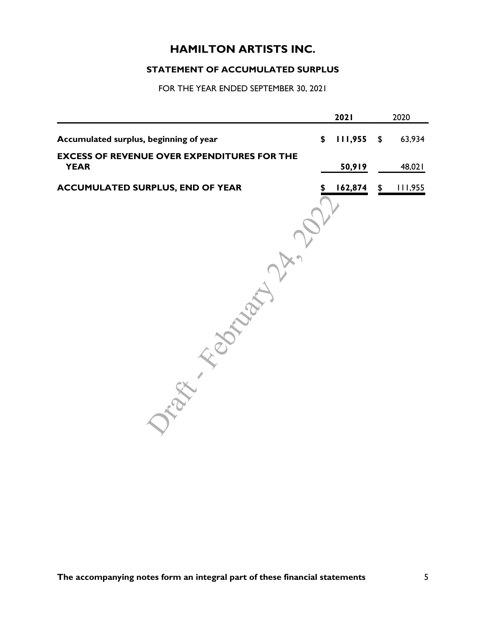## **STATEMENT OF ACCUMULATED SURPLUS**

| 2020         | 2021    |                                                                   |
|--------------|---------|-------------------------------------------------------------------|
| 63,934<br>\$ | 111,955 | \$<br>Accumulated surplus, beginning of year                      |
| 48,021       | 50,919  | <b>EXCESS OF REVENUE OVER EXPENDITURES FOR THE</b><br><b>YEAR</b> |
| 111,955      | 162,874 | <b>ACCUMULATED SURPLUS, END OF YEAR</b>                           |
|              |         |                                                                   |
|              |         |                                                                   |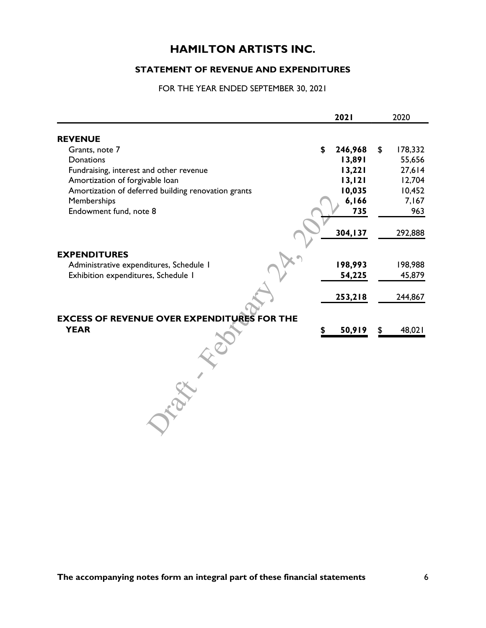#### **STATEMENT OF REVENUE AND EXPENDITURES**

|                                                     | 2021          | 2020          |
|-----------------------------------------------------|---------------|---------------|
| <b>REVENUE</b>                                      |               |               |
| Grants, note 7                                      | \$<br>246,968 | \$<br>178,332 |
| Donations                                           | 13,891        | 55,656        |
| Fundraising, interest and other revenue             | 13,221        | 27,614        |
| Amortization of forgivable loan                     | 13,121        | 12,704        |
| Amortization of deferred building renovation grants | 10,035        | 10,452        |
| Memberships                                         | 6,166         | 7,167         |
| Endowment fund, note 8                              | 735           | 963           |
|                                                     |               |               |
|                                                     | 304, 137      | 292,888       |
|                                                     |               |               |
| <b>EXPENDITURES</b>                                 |               |               |
| Administrative expenditures, Schedule I             | 198,993       | 198,988       |
| Exhibition expenditures, Schedule I                 | 54,225        | 45,879        |
|                                                     |               |               |
|                                                     | 253,218       | 244,867       |
|                                                     |               |               |
| <b>EXCESS OF REVENUE OVER EXPENDITURES FOR THE</b>  |               |               |
| <b>YEAR</b>                                         | 50,919        | \$<br>48,021  |
|                                                     |               |               |
|                                                     |               |               |
|                                                     |               |               |
|                                                     |               |               |
|                                                     |               |               |
|                                                     |               |               |
|                                                     |               |               |
|                                                     |               |               |
|                                                     |               |               |
|                                                     |               |               |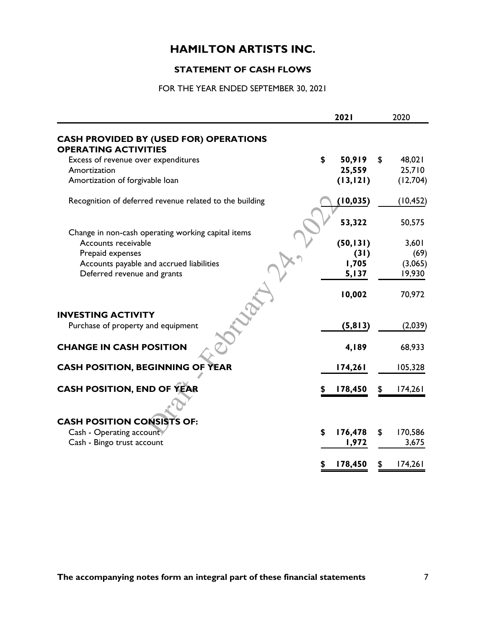## **STATEMENT OF CASH FLOWS**

|                                                                              | 2021          | 2020          |
|------------------------------------------------------------------------------|---------------|---------------|
| <b>CASH PROVIDED BY (USED FOR) OPERATIONS</b><br><b>OPERATING ACTIVITIES</b> |               |               |
| Excess of revenue over expenditures                                          | \$<br>50,919  | \$<br>48,021  |
| Amortization                                                                 | 25,559        | 25,710        |
| Amortization of forgivable loan                                              | (13, 121)     | (12,704)      |
| Recognition of deferred revenue related to the building                      | (10, 035)     | (10, 452)     |
| Change in non-cash operating working capital items                           | 53,322        | 50,575        |
| Accounts receivable                                                          | (50, 131)     | 3,601         |
| Prepaid expenses                                                             | (31)          | (69)          |
| Accounts payable and accrued liabilities                                     | 1,705         | (3,065)       |
| Deferred revenue and grants                                                  | 5,137         | 19,930        |
|                                                                              | 10,002        | 70,972        |
| <b>INVESTING ACTIVITY</b>                                                    |               |               |
| Purchase of property and equipment                                           | (5, 813)      | (2,039)       |
| <b>CHANGE IN CASH POSITION</b>                                               | 4,189         | 68,933        |
| <b>CASH POSITION, BEGINNING OF YEAR</b>                                      | 174,261       | 105,328       |
| <b>CASH POSITION, END OF YEAR</b>                                            | 178,450       | 174,261       |
|                                                                              |               |               |
| <b>CASH POSITION CONSISTS OF:</b>                                            |               |               |
| Cash - Operating account                                                     | \$<br>176,478 | \$<br>170,586 |
| Cash - Bingo trust account                                                   | 1,972         | 3,675         |
|                                                                              | 178,450       | 174,261       |
|                                                                              |               |               |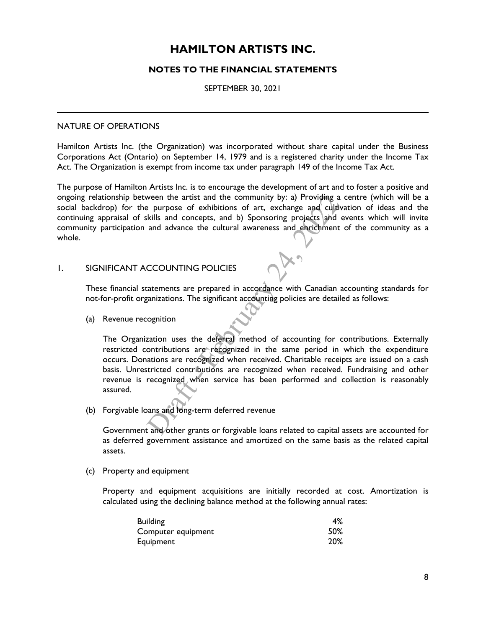#### **NOTES TO THE FINANCIAL STATEMENTS**

#### SEPTEMBER 30, 2021

#### NATURE OF OPERATIONS

Hamilton Artists Inc. (the Organization) was incorporated without share capital under the Business Corporations Act (Ontario) on September 14, 1979 and is a registered charity under the Income Tax Act. The Organization is exempt from income tax under paragraph 149 of the Income Tax Act.

a) Providing a contained and cultival<br>projects and evaluation<br>of enrichment contained The purpose of Hamilton Artists Inc. is to encourage the development of art and to foster a positive and ongoing relationship between the artist and the community by: a) Providing a centre (which will be a social backdrop) for the purpose of exhibitions of art, exchange and cultivation of ideas and the continuing appraisal of skills and concepts, and b) Sponsoring projects and events which will invite community participation and advance the cultural awareness and enrichment of the community as a whole.

#### 1. SIGNIFICANT ACCOUNTING POLICIES

These financial statements are prepared in accordance with Canadian accounting standards for not-for-profit organizations. The significant accounting policies are detailed as follows:

(a) Revenue recognition

recognized when<br>pans and long-term<br>t and other grants FOLICIES<br>
prepared in accordance with<br>
e significant accounting policies<br>
e deferral method of accounting<br>
re recognized in the same<br>
ognized when received. Chari The Organization uses the deferral method of accounting for contributions. Externally restricted contributions are recognized in the same period in which the expenditure occurs. Donations are recognized when received. Charitable receipts are issued on a cash basis. Unrestricted contributions are recognized when received. Fundraising and other revenue is recognized when service has been performed and collection is reasonably assured.

(b) Forgivable loans and long-term deferred revenue

Government and other grants or forgivable loans related to capital assets are accounted for as deferred government assistance and amortized on the same basis as the related capital assets.

(c) Property and equipment

Property and equipment acquisitions are initially recorded at cost. Amortization is calculated using the declining balance method at the following annual rates:

| <b>Building</b>    | 4%  |
|--------------------|-----|
| Computer equipment | 50% |
| Equipment          | 20% |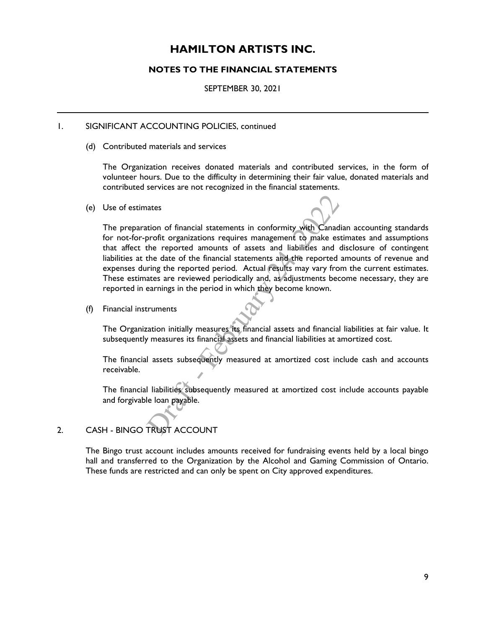#### **NOTES TO THE FINANCIAL STATEMENTS**

SEPTEMBER 30, 2021

#### 1. SIGNIFICANT ACCOUNTING POLICIES, continued

(d) Contributed materials and services

The Organization receives donated materials and contributed services, in the form of volunteer hours. Due to the difficulty in determining their fair value, donated materials and contributed services are not recognized in the financial statements.

(e) Use of estimates

amounts of assets and manimum<br>Efinancial statements and the<br>ted periodically and, as adjust<br>period in which they become<br>period in which they become<br>measures its financial assets an<br>financial assets and financial lial<br>quent Use of estimates<br>The preparation of financial statements in conformity with Canadian accounting standards<br>for not-for-profit organizations requires management to make estimates and assumptions<br>that affect the reported amou The preparation of financial statements in conformity with Canadian accounting standards that affect the reported amounts of assets and liabilities and disclosure of contingent liabilities at the date of the financial statements and the reported amounts of revenue and expenses during the reported period. Actual results may vary from the current estimates. These estimates are reviewed periodically and, as adjustments become necessary, they are reported in earnings in the period in which they become known.

(f) Financial instruments

The Organization initially measures its financial assets and financial liabilities at fair value. It subsequently measures its financial assets and financial liabilities at amortized cost.

The financial assets subsequently measured at amortized cost include cash and accounts receivable.

The financial liabilities subseque<br>
and forgivable loan payable.<br>
2. CASH - BINGO TRUST ACCOUNT The financial liabilities subsequently measured at amortized cost include accounts payable and forgivable loan payable.

The Bingo trust account includes amounts received for fundraising events held by a local bingo hall and transferred to the Organization by the Alcohol and Gaming Commission of Ontario. These funds are restricted and can only be spent on City approved expenditures.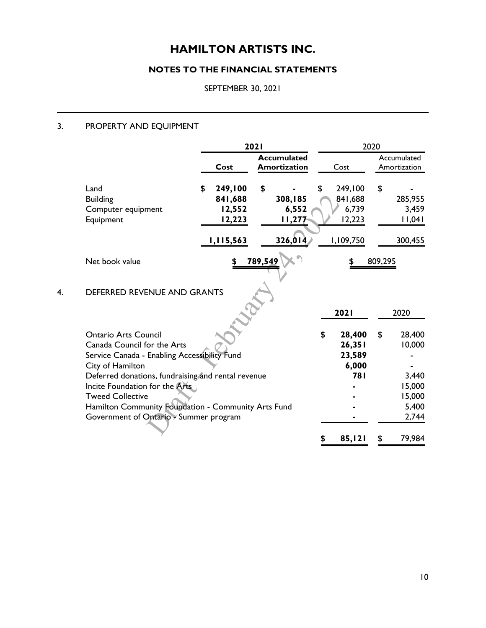## **NOTES TO THE FINANCIAL STATEMENTS**

SEPTEMBER 30, 2021

### 3. PROPERTY AND EQUIPMENT

|                                                                                      | 2021 |           | 2020    |                                    |    |                     |         |                             |
|--------------------------------------------------------------------------------------|------|-----------|---------|------------------------------------|----|---------------------|---------|-----------------------------|
|                                                                                      |      | Cost      |         | <b>Accumulated</b><br>Amortization |    | Cost                |         | Accumulated<br>Amortization |
| Land                                                                                 | \$   | 249,100   | \$      |                                    | \$ | 249,100             | \$      |                             |
| <b>Building</b>                                                                      |      | 841,688   |         | 308,185                            |    | 841,688             |         | 285,955                     |
| Computer equipment                                                                   |      | 12,552    |         | 6,552                              |    | 6,739               |         | 3,459                       |
| Equipment                                                                            |      | 12,223    |         | 11,277                             |    | 12,223              |         | 11,041                      |
|                                                                                      |      | 1,115,563 |         | 326,014                            |    | 1,109,750           |         | 300,455                     |
| Net book value                                                                       |      | \$        | 789,549 |                                    |    |                     | 809,295 |                             |
| DEFERRED REVENUE AND GRANTS                                                          |      |           |         |                                    |    | 2021                |         | 2020                        |
|                                                                                      |      |           |         |                                    |    |                     |         |                             |
| <b>Ontario Arts Council</b>                                                          |      |           |         |                                    | \$ | 28,400              | \$      | 28,400                      |
| Canada Council for the Arts                                                          |      |           |         |                                    |    | 26,351              |         | 10,000                      |
| Service Canada - Enabling Accessibility Fund                                         |      |           |         |                                    |    | 23,589              |         |                             |
| City of Hamilton                                                                     |      |           |         |                                    |    | 6,000<br><b>781</b> |         | 3,440                       |
| Deferred donations, fundraising and rental revenue<br>Incite Foundation for the Arts |      |           |         |                                    |    |                     |         | 15,000                      |
| <b>Tweed Collective</b>                                                              |      |           |         |                                    |    |                     |         | 15,000                      |
| Hamilton Community Foundation - Community Arts Fund                                  |      |           |         |                                    |    |                     |         | 5,400                       |
| Government of Ontario - Summer program                                               |      |           |         |                                    |    |                     |         | 2,744                       |
|                                                                                      |      |           |         |                                    |    | 85,121              | S       | 79,984                      |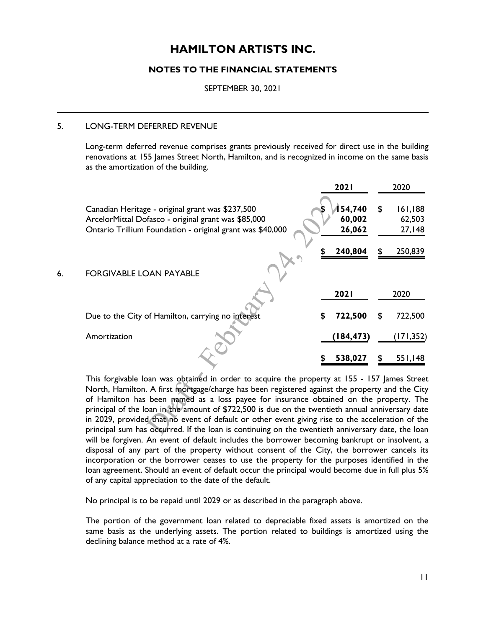#### **NOTES TO THE FINANCIAL STATEMENTS**

SEPTEMBER 30, 2021

#### 5. LONG-TERM DEFERRED REVENUE

Long-term deferred revenue comprises grants previously received for direct use in the building renovations at 155 James Street North, Hamilton, and is recognized in income on the same basis as the amortization of the building.

|    |                                                                                                                                                                      |   | 2021                       |   | 2020                        |
|----|----------------------------------------------------------------------------------------------------------------------------------------------------------------------|---|----------------------------|---|-----------------------------|
|    | Canadian Heritage - original grant was \$237,500<br>ArcelorMittal Dofasco - original grant was \$85,000<br>Ontario Trillium Foundation - original grant was \$40,000 |   | 54,740<br>60,002<br>26,062 | S | 161,188<br>62,503<br>27,148 |
|    |                                                                                                                                                                      |   | 240,804                    |   | 250,839                     |
| 6. | <b>FORGIVABLE LOAN PAYABLE</b>                                                                                                                                       |   |                            |   |                             |
|    |                                                                                                                                                                      |   | <b>2021</b>                |   | 2020                        |
|    | Due to the City of Hamilton, carrying no interest                                                                                                                    | S | 722,500                    |   | 722,500                     |
|    | Amortization                                                                                                                                                         |   | (184,473)                  |   | (171,352)                   |
|    |                                                                                                                                                                      |   | 538,027                    |   | 551,148                     |

This forgivable loan was obtained in order to acquire the property at 155 - 157 James Street<br>North, Hamilton. A first mortgage/charge has been registered against the property and the City<br>of Hamilton has been named as a lo North, Hamilton. A first mortgage/charge has been registered against the property and the City of Hamilton has been named as a loss payee for insurance obtained on the property. The principal of the loan in the amount of \$722,500 is due on the twentieth annual anniversary date in 2029, provided that no event of default or other event giving rise to the acceleration of the principal sum has occurred. If the loan is continuing on the twentieth anniversary date, the loan will be forgiven. An event of default includes the borrower becoming bankrupt or insolvent, a disposal of any part of the property without consent of the City, the borrower cancels its incorporation or the borrower ceases to use the property for the purposes identified in the loan agreement. Should an event of default occur the principal would become due in full plus 5% of any capital appreciation to the date of the default.

No principal is to be repaid until 2029 or as described in the paragraph above.

The portion of the government loan related to depreciable fixed assets is amortized on the same basis as the underlying assets. The portion related to buildings is amortized using the declining balance method at a rate of 4%.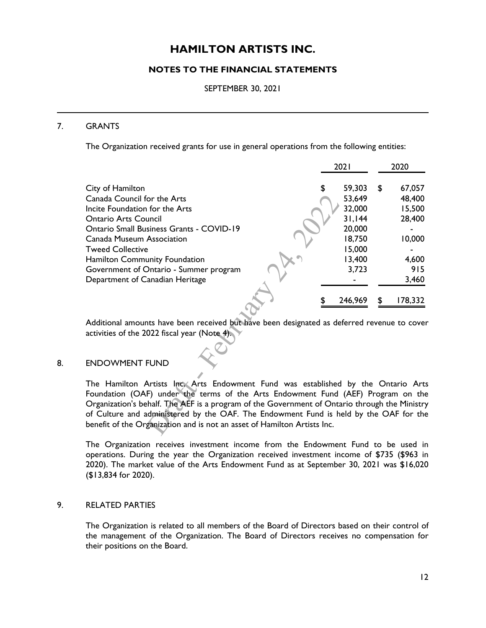#### **NOTES TO THE FINANCIAL STATEMENTS**

SEPTEMBER 30, 2021

#### 7. GRANTS

The Organization received grants for use in general operations from the following entities:

|                                                                                             | 2021         |    | 2020    |
|---------------------------------------------------------------------------------------------|--------------|----|---------|
| City of Hamilton                                                                            | \$<br>59,303 | \$ | 67,057  |
| Canada Council for the Arts                                                                 | 53,649       |    | 48,400  |
| Incite Foundation for the Arts                                                              | 32,000       |    | 15,500  |
| <b>Ontario Arts Council</b>                                                                 | 31,144       |    | 28,400  |
| <b>Ontario Small Business Grants - COVID-19</b>                                             | 20,000       |    |         |
| Canada Museum Association                                                                   | 18,750       |    | 10,000  |
| <b>Tweed Collective</b>                                                                     | 15,000       |    |         |
| Hamilton Community Foundation                                                               | 13,400       |    | 4,600   |
| Government of Ontario - Summer program                                                      | 3,723        |    | 915     |
| Department of Canadian Heritage                                                             |              |    | 3,460   |
|                                                                                             | 246,969      | S  | 178,332 |
| Additional amounts have been received but have been designated as deferred revenue to cover |              |    |         |
| activities of the 2022 fiscal year (Note 4).                                                |              |    |         |
| <b>ENDOWMENT FUND</b>                                                                       |              |    |         |
|                                                                                             |              |    |         |

#### 8. ENDOWMENT FUND

Artists Inc, Arts<br>F) under the tern<br>thalf. The AEF is a<br>idministered by th<br>ganization and is no The Hamilton Artists Inc. Arts Endowment Fund was established by the Ontario Arts Foundation (OAF) under the terms of the Arts Endowment Fund (AEF) Program on the Organization's behalf. The AEF is a program of the Government of Ontario through the Ministry of Culture and administered by the OAF. The Endowment Fund is held by the OAF for the benefit of the Organization and is not an asset of Hamilton Artists Inc.

The Organization receives investment income from the Endowment Fund to be used in operations. During the year the Organization received investment income of \$735 (\$963 in 2020). The market value of the Arts Endowment Fund as at September 30, 2021 was \$16,020 (\$13,834 for 2020).

#### 9. RELATED PARTIES

The Organization is related to all members of the Board of Directors based on their control of the management of the Organization. The Board of Directors receives no compensation for their positions on the Board.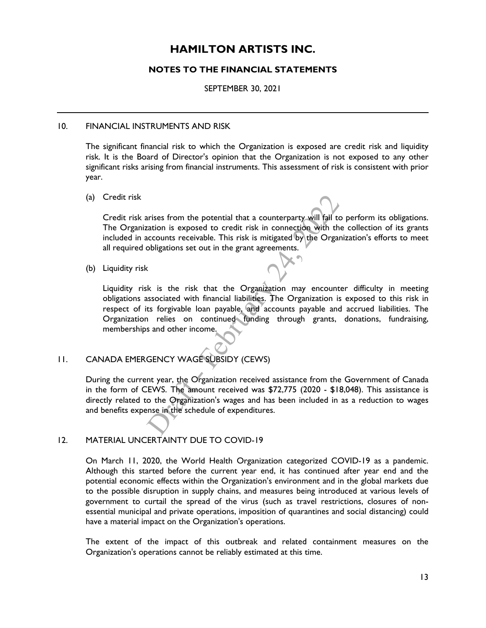#### **NOTES TO THE FINANCIAL STATEMENTS**

SEPTEMBER 30, 2021

#### 10. FINANCIAL INSTRUMENTS AND RISK

The significant financial risk to which the Organization is exposed are credit risk and liquidity risk. It is the Board of Director's opinion that the Organization is not exposed to any other significant risks arising from financial instruments. This assessment of risk is consistent with prior year.

(a) Credit risk

arty will fail to<br>ection with the<br>I by the Organi: Credit risk arises from the potential that a counterparty will fail to perform its obligations. The Organization is exposed to credit risk in connection with the collection of its grants included in accounts receivable. This risk is mitigated by the Organization's efforts to meet all required obligations set out in the grant agreements.

(b) Liquidity risk

but in the grant agreements.<br>
that the Organization may<br>
i financial liabilities. The Organization<br>
continued funding through<br>
come.<br>
ESUBSIDY (CEWS) Liquidity risk is the risk that the Organization may encounter difficulty in meeting obligations associated with financial liabilities. The Organization is exposed to this risk in respect of its forgivable loan payable, and accounts payable and accrued liabilities. The Organization relies on continued funding through grants, donations, fundraising, memberships and other income.

#### 11. CANADA EMERGENCY WAGE SUBSIDY (CEWS)

During the current year, the Organization received assistance from the Government of Canada<br>in the form of CEWS. The amount received was \$72,775 (2020 - \$18,048). This assistance is<br>directly related to the Organization's w in the form of CEWS. The amount received was \$72,775 (2020 - \$18,048). This assistance is directly related to the Organization's wages and has been included in as a reduction to wages and benefits expense in the schedule of expenditures.

#### 12. MATERIAL UNCERTAINTY DUE TO COVID-19

On March 11, 2020, the World Health Organization categorized COVID-19 as a pandemic. Although this started before the current year end, it has continued after year end and the potential economic effects within the Organization's environment and in the global markets due to the possible disruption in supply chains, and measures being introduced at various levels of government to curtail the spread of the virus (such as travel restrictions, closures of nonessential municipal and private operations, imposition of quarantines and social distancing) could have a material impact on the Organization's operations.

The extent of the impact of this outbreak and related containment measures on the Organization's operations cannot be reliably estimated at this time.